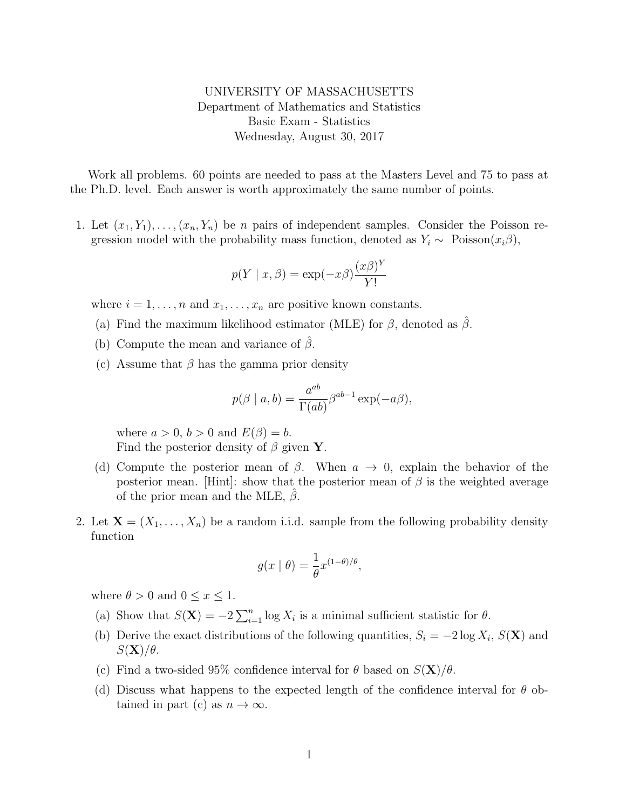## UNIVERSITY OF MASSACHUSETTS Department of Mathematics and Statistics Basic Exam - Statistics Wednesday, August 30, 2017

Work all problems. 60 points are needed to pass at the Masters Level and 75 to pass at the Ph.D. level. Each answer is worth approximately the same number of points.

1. Let  $(x_1, Y_1), \ldots, (x_n, Y_n)$  be *n* pairs of independent samples. Consider the Poisson regression model with the probability mass function, denoted as  $Y_i \sim \text{Poisson}(x_i \beta)$ ,

$$
p(Y \mid x, \beta) = \exp(-x\beta) \frac{(x\beta)^Y}{Y!}
$$

where  $i = 1, \ldots, n$  and  $x_1, \ldots, x_n$  are positive known constants.

- (a) Find the maximum likelihood estimator (MLE) for  $\beta$ , denoted as  $\beta$ .
- (b) Compute the mean and variance of  $\beta$ .
- (c) Assume that  $\beta$  has the gamma prior density

$$
p(\beta \mid a, b) = \frac{a^{ab}}{\Gamma(ab)} \beta^{ab-1} \exp(-a\beta),
$$

where  $a > 0$ ,  $b > 0$  and  $E(\beta) = b$ . Find the posterior density of  $\beta$  given Y.

- (d) Compute the posterior mean of  $\beta$ . When  $a \to 0$ , explain the behavior of the posterior mean. [Hint]: show that the posterior mean of  $\beta$  is the weighted average of the prior mean and the MLE,  $\beta$ .
- 2. Let  $\mathbf{X} = (X_1, \ldots, X_n)$  be a random i.i.d. sample from the following probability density function

$$
g(x \mid \theta) = \frac{1}{\theta} x^{(1-\theta)/\theta},
$$

where  $\theta > 0$  and  $0 \leq x \leq 1$ .

- (a) Show that  $S(\mathbf{X}) = -2\sum_{i=1}^{n} \log X_i$  is a minimal sufficient statistic for  $\theta$ .
- (b) Derive the exact distributions of the following quantities,  $S_i = -2 \log X_i$ ,  $S(\mathbf{X})$  and  $S(\mathbf{X})/\theta$ .
- (c) Find a two-sided 95% confidence interval for  $\theta$  based on  $S(\mathbf{X})/\theta$ .
- (d) Discuss what happens to the expected length of the confidence interval for  $\theta$  obtained in part (c) as  $n \to \infty$ .